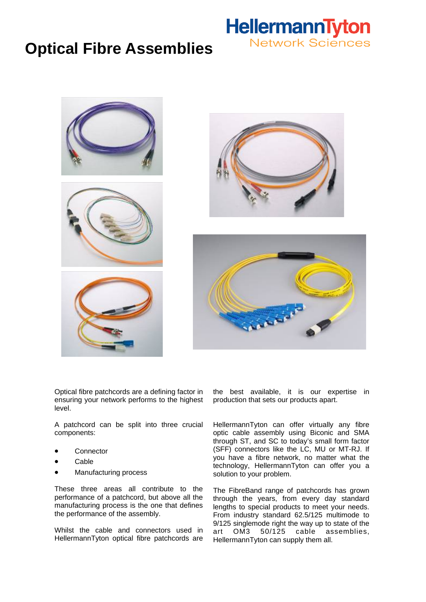## **Optical Fibre Assemblies**









Optical fibre patchcords are a defining factor in ensuring your network performs to the highest level.

A patchcord can be split into three crucial components:

- **Connector**
- Cable
- Manufacturing process

These three areas all contribute to the performance of a patchcord, but above all the manufacturing process is the one that defines the performance of the assembly.

Whilst the cable and connectors used in HellermannTyton optical fibre patchcords are the best available, it is our expertise in production that sets our products apart.

HellermannTyton can offer virtually any fibre optic cable assembly using Biconic and SMA through ST, and SC to today's small form factor (SFF) connectors like the LC, MU or MT-RJ. If you have a fibre network, no matter what the technology, HellermannTyton can offer you a solution to your problem.

The FibreBand range of patchcords has grown through the years, from every day standard lengths to special products to meet your needs. From industry standard 62.5/125 multimode to 9/125 singlemode right the way up to state of the art OM3 50/125 cable assemblies, HellermannTyton can supply them all.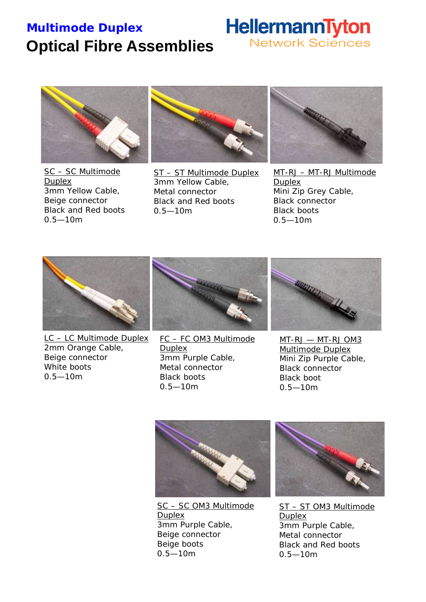## **Multimode Duplex Optical Fibre Assemblies**

## HellermannTyton **Network Sciences**



SC – SC Multimode Duplex 3mm Yellow Cable, Beige connector Black and Red boots 0.5—10m



ST – ST Multimode Duplex 3mm Yellow Cable, Metal connector Black and Red boots 0.5—10m



MT-RJ – MT-RJ Multimode **Duplex** Mini Zip Grey Cable, Black connector Black boots 0.5—10m



LC – LC Multimode Duplex 2mm Orange Cable, Beige connector White boots 0.5—10m



FC – FC OM3 Multimode Duplex 3mm Purple Cable, Metal connector Black boots 0.5—10m



MT-RJ — MT-RJ OM3 Multimode Duplex Mini Zip Purple Cable, Black connector Black boot 0.5—10m



SC – SC OM3 Multimode Duplex 3mm Purple Cable, Beige connector Beige boots 0.5—10m



ST – ST OM3 Multimode Duplex 3mm Purple Cable, Metal connector Black and Red boots 0.5—10m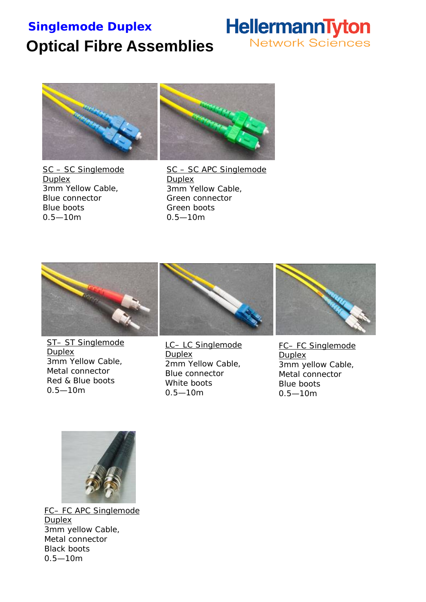### **Singlemode Duplex**

# **Optical Fibre Assemblies**





SC – SC Singlemode Duplex 3mm Yellow Cable, Blue connector Blue boots 0.5—10m

SC – SC APC Singlemode Duplex 3mm Yellow Cable, Green connector Green boots 0.5—10m



ST– ST Singlemode **Duplex** 3mm Yellow Cable, Metal connector Red & Blue boots 0.5—10m



LC– LC Singlemode **Duplex** 2mm Yellow Cable, Blue connector White boots 0.5—10m



FC– FC Singlemode **Duplex** 3mm yellow Cable, Metal connector Blue boots 0.5—10m



FC– FC APC Singlemode Duplex 3mm yellow Cable, Metal connector Black boots 0.5—10m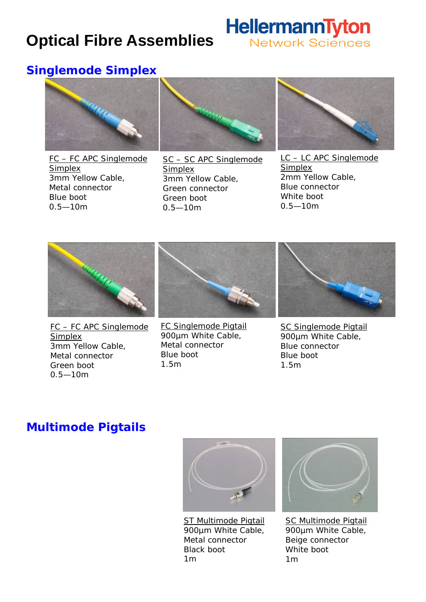# **Optical Fibre Assemblies**



### **Singlemode Simplex**



FC – FC APC Singlemode Simplex 3mm Yellow Cable, Metal connector Blue boot 0.5—10m



SC – SC APC Singlemode Simplex 3mm Yellow Cable, Green connector Green boot 0.5—10m



LC – LC APC Singlemode **Simplex** 2mm Yellow Cable, Blue connector White boot 0.5—10m



FC – FC APC Singlemode Simplex 3mm Yellow Cable, Metal connector Green boot 0.5—10m



FC Singlemode Pigtail 900µm White Cable, Metal connector Blue boot 1.5m



SC Singlemode Pigtail 900µm White Cable, Blue connector Blue boot 1.5m

### **Multimode Pigtails**



ST Multimode Pigtail 900µm White Cable, Metal connector Black boot 1m



SC Multimode Pigtail 900µm White Cable, Beige connector White boot 1m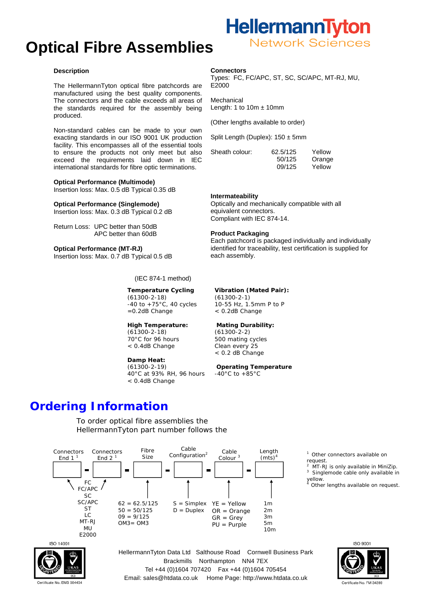## **Optical Fibre Assemblies**

#### **Description**

The HellermannTyton optical fibre patchcords are manufactured using the best quality components. The connectors and the cable exceeds all areas of the standards required for the assembly being produced.

Non-standard cables can be made to your own exacting standards in our ISO 9001 UK production facility. This encompasses all of the essential tools to ensure the products not only meet but also exceed the requirements laid down in IEC international standards for fibre optic terminations.

#### **Optical Performance (Multimode)**

Insertion loss: Max. 0.5 dB Typical 0.35 dB

#### **Optical Performance (Singlemode)**

Insertion loss: Max. 0.3 dB Typical 0.2 dB

Return Loss: UPC better than 50dB APC better than 60dB

**Optical Performance (MT-RJ)**  Insertion loss: Max. 0.7 dB Typical 0.5 dB

(IEC 874-1 method)

#### **Temperature Cycling**  (61300-2-18)  $-40$  to  $+75$ °C, 40 cycles

=0.2dB Change

#### **High Temperature:**  (61300-2-18) 70°C for 96 hours < 0.4dB Change

**Damp Heat:**  (61300-2-19) 40°C at 93% RH, 96 hours < 0.4dB Change

#### **Connectors**

Types: FC, FC/APC, ST, SC, SC/APC, MT-RJ, MU, E2000

Mechanical Length: 1 to  $10m \pm 10mm$ 

(Other lengths available to order)

Split Length (Duplex): 150 ± 5mm

| Sheath colour: | 62.5/125 | Yellow |
|----------------|----------|--------|
|                | 50/125   | Orange |
|                | 09/125   | Yellow |

#### **Intermateability**

Optically and mechanically compatible with all equivalent connectors. Compliant with IEC 874-14.

#### **Product Packaging**

Each patchcord is packaged individually and individually identified for traceability, test certification is supplied for each assembly.

#### **Vibration (Mated Pair):**

(61300-2-1) 10-55 Hz, 1.5mm P to P < 0.2dB Change

#### **Mating Durability:**

(61300-2-2) 500 mating cycles Clean every 25 < 0.2 dB Change

#### **Operating Temperature**

 $-40^{\circ}$ C to  $+85^{\circ}$ C

### **Ordering Information**

To order optical fibre assemblies the HellermannTyton part number follows the







ertificate No. EMS 504454

HellermannTyton Data Ltd Salthouse Road Cornwell Business Park Brackmills Northampton NN4 7EX Tel +44 (0)1604 707420 Fax +44 (0)1604 705454 Email: sales@htdata.co.uk Home Page: http://www.htdata.co.uk



Other connectors available on

MT-RJ is only available in MiniZip.

Singlemode cable only available in

Other lengths available on request.

request. 2

yellow.

3

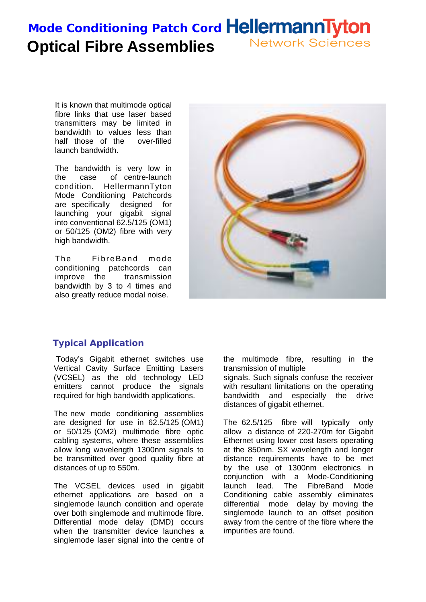### **Mode Conditioning Patch Cord HellermannTyton Network Sciences Optical Fibre Assemblies**

It is known that multimode optical fibre links that use laser based transmitters may be limited in bandwidth to values less than half those of the over-filled launch bandwidth.

The bandwidth is very low in the case of centre-launch condition. HellermannTyton Mode Conditioning Patchcords are specifically designed for launching your gigabit signal into conventional 62.5/125 (OM1) or 50/125 (OM2) fibre with very high bandwidth.

The Fibre Band mode conditioning patchcords can improve the transmission bandwidth by 3 to 4 times and also greatly reduce modal noise.



### **Typical Application**

Today's Gigabit ethernet switches use Vertical Cavity Surface Emitting Lasers (VCSEL) as the old technology LED emitters cannot produce the signals required for high bandwidth applications.

The new mode conditioning assemblies are designed for use in 62.5/125 (OM1) or 50/125 (OM2) multimode fibre optic cabling systems, where these assemblies allow long wavelength 1300nm signals to be transmitted over good quality fibre at distances of up to 550m.

The VCSEL devices used in gigabit ethernet applications are based on a singlemode launch condition and operate over both singlemode and multimode fibre. Differential mode delay (DMD) occurs when the transmitter device launches a singlemode laser signal into the centre of

the multimode fibre, resulting in the transmission of multiple

signals. Such signals confuse the receiver with resultant limitations on the operating bandwidth and especially the drive distances of gigabit ethernet.

The 62.5/125 fibre will typically only allow a distance of 220-270m for Gigabit Ethernet using lower cost lasers operating at the 850nm. SX wavelength and longer distance requirements have to be met by the use of 1300nm electronics in conjunction with a Mode-Conditioning launch lead. The FibreBand Mode Conditioning cable assembly eliminates differential mode delay by moving the singlemode launch to an offset position away from the centre of the fibre where the impurities are found.